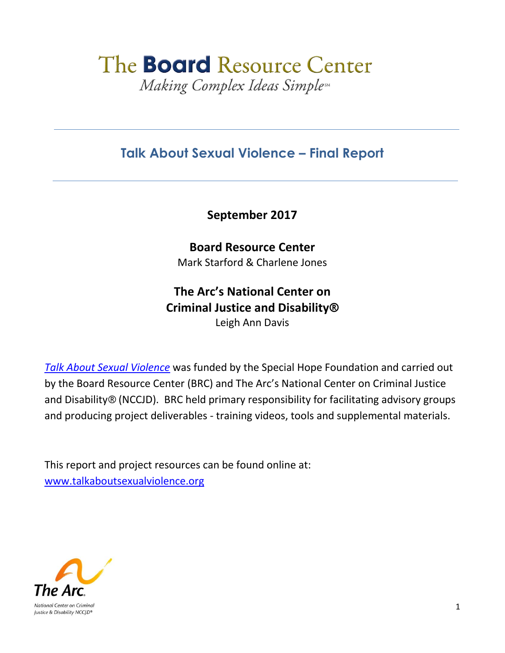# The **Board** Resource Center Making Complex Ideas Simpless

### **Talk About Sexual Violence – Final Report**

**September 2017**

**Board Resource Center** Mark Starford & Charlene Jones

# **The Arc's National Center on Criminal Justice and Disability®**

Leigh Ann Davis

*[Talk About Sexual Violence](http://www.thearc.org/what-we-do/programs-and-services/national-initiatives/nccjd/talk-about-sexual-violence)* was funded by the Special Hope Foundation and carried out by the Board Resource Center (BRC) and The Arc's National Center on Criminal Justice and Disability® (NCCJD). BRC held primary responsibility for facilitating advisory groups and producing project deliverables - training videos, tools and supplemental materials.

This report and project resources can be found online at: [www.talkaboutsexualviolence.org](http://www.talkaboutsexualviolence.org/)

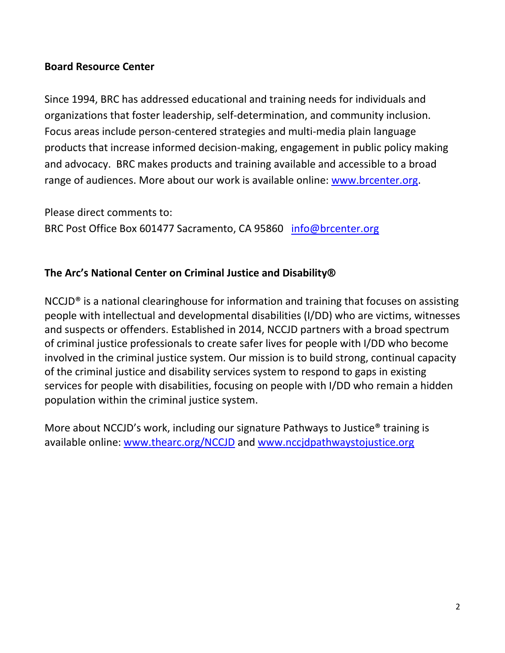### **Board Resource Center**

Since 1994, BRC has addressed educational and training needs for individuals and organizations that foster leadership, self-determination, and community inclusion. Focus areas include person-centered strategies and multi-media plain language products that increase informed decision-making, engagement in public policy making and advocacy. BRC makes products and training available and accessible to a broad range of audiences. More about our work is available online: [www.brcenter.org.](http://www.brcenter.org/)

Please direct comments to: BRC Post Office Box 601477 Sacramento, CA 95860 [info@brcenter.org](mailto:info@brcenter.org)

#### **The Arc's National Center on Criminal Justice and Disability®**

NCCJD® is a national clearinghouse for information and training that focuses on assisting people with intellectual and developmental disabilities (I/DD) who are victims, witnesses and suspects or offenders. Established in 2014, NCCJD partners with a broad spectrum of criminal justice professionals to create safer lives for people with I/DD who become involved in the criminal justice system. Our mission is to build strong, continual capacity of the criminal justice and disability services system to respond to gaps in existing services for people with disabilities, focusing on people with I/DD who remain a hidden population within the criminal justice system.

More about NCCJD's work, including our signature Pathways to Justice® training is available online: [www.thearc.org/NCCJD](http://www.thearc.org/NCCJD) and [www.nccjdpathwaystojustice.org](http://www.nccjdpathwaystojustice.org/)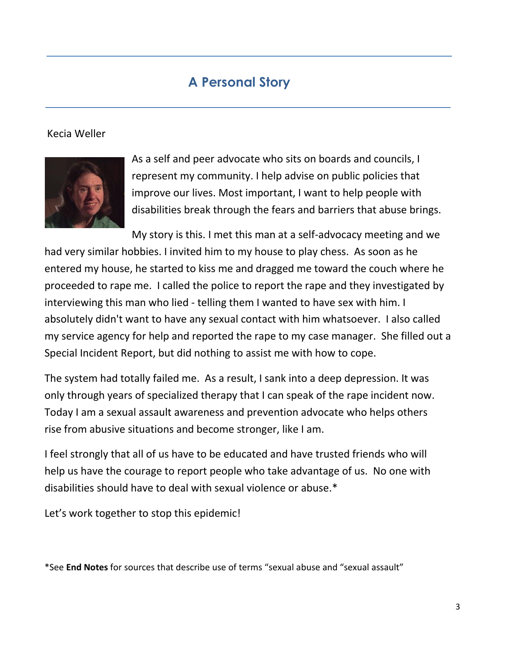### **A Personal Story**

### Kecia Weller



As a self and peer advocate who sits on boards and councils, I represent my community. I help advise on public policies that improve our lives. Most important, I want to help people with disabilities break through the fears and barriers that abuse brings.

My story is this. I met this man at a self-advocacy meeting and we had very similar hobbies. I invited him to my house to play chess. As soon as he entered my house, he started to kiss me and dragged me toward the couch where he proceeded to rape me. I called the police to report the rape and they investigated by interviewing this man who lied - telling them I wanted to have sex with him. I absolutely didn't want to have any sexual contact with him whatsoever. I also called my service agency for help and reported the rape to my case manager. She filled out a Special Incident Report, but did nothing to assist me with how to cope.

The system had totally failed me. As a result, I sank into a deep depression. It was only through years of specialized therapy that I can speak of the rape incident now. Today I am a sexual assault awareness and prevention advocate who helps others rise from abusive situations and become stronger, like I am.

I feel strongly that all of us have to be educated and have trusted friends who will help us have the courage to report people who take advantage of us. No one with disabilities should have to deal with sexual violence or abuse.\*

Let's work together to stop this epidemic!

\*See **End Notes** for sources that describe use of terms "sexual abuse and "sexual assault"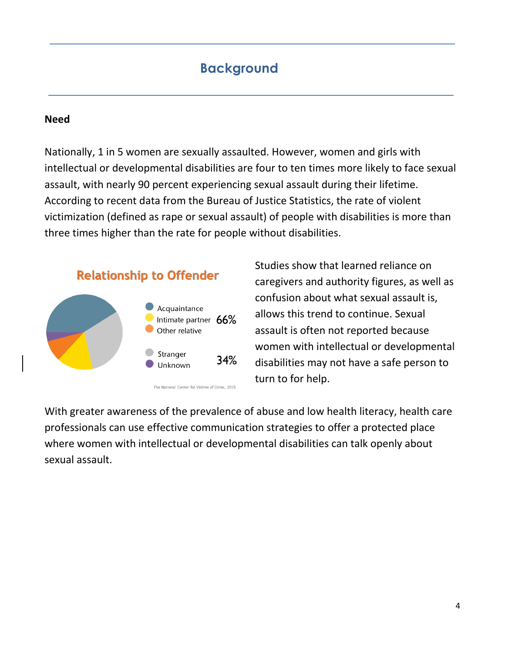### **Background**

#### **Need**

Nationally, 1 in 5 women are sexually assaulted. However, women and girls with intellectual or developmental disabilities are four to ten times more likely to face sexual assault, with nearly 90 percent experiencing sexual assault during their lifetime. According to recent data from the Bureau of Justice Statistics, the rate of violent victimization (defined as rape or sexual assault) of people with disabilities is more than three times higher than the rate for people without disabilities.



The National Center for Victims of Crime, 2015

Studies show that learned reliance on caregivers and authority figures, as well as confusion about what sexual assault is, allows this trend to continue. Sexual assault is often not reported because women with intellectual or developmental disabilities may not have a safe person to turn to for help.

With greater awareness of the prevalence of abuse and low health literacy, health care professionals can use effective communication strategies to offer a protected place where women with intellectual or developmental disabilities can talk openly about sexual assault.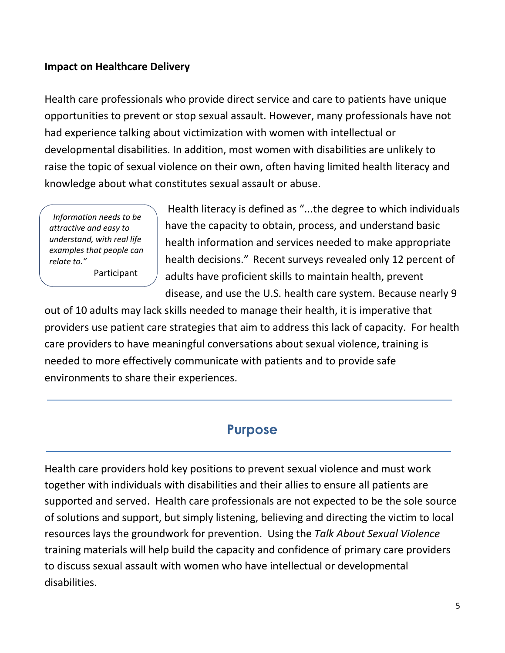### **Impact on Healthcare Delivery**

Health care professionals who provide direct service and care to patients have unique opportunities to prevent or stop sexual assault. However, many professionals have not had experience talking about victimization with women with intellectual or developmental disabilities. In addition, most women with disabilities are unlikely to raise the topic of sexual violence on their own, often having limited health literacy and knowledge about what constitutes sexual assault or abuse.

*"Information needs to be attractive and easy to understand, with real life examples that people can relate to."*

Participant

Health literacy is defined as "...the degree to which individuals have the capacity to obtain, process, and understand basic health information and services needed to make appropriate health decisions." Recent surveys revealed only 12 percent of adults have proficient skills to maintain health, prevent disease, and use the U.S. health care system. Because nearly 9

out of 10 adults may lack skills needed to manage their health, it is imperative that providers use patient care strategies that aim to address this lack of capacity. For health care providers to have meaningful conversations about sexual violence, training is needed to more effectively communicate with patients and to provide safe environments to share their experiences.

### **Purpose**

Health care providers hold key positions to prevent sexual violence and must work together with individuals with disabilities and their allies to ensure all patients are supported and served. Health care professionals are not expected to be the sole source of solutions and support, but simply listening, believing and directing the victim to local resources lays the groundwork for prevention. Using the *Talk About Sexual Violence* training materials will help build the capacity and confidence of primary care providers to discuss sexual assault with women who have intellectual or developmental disabilities.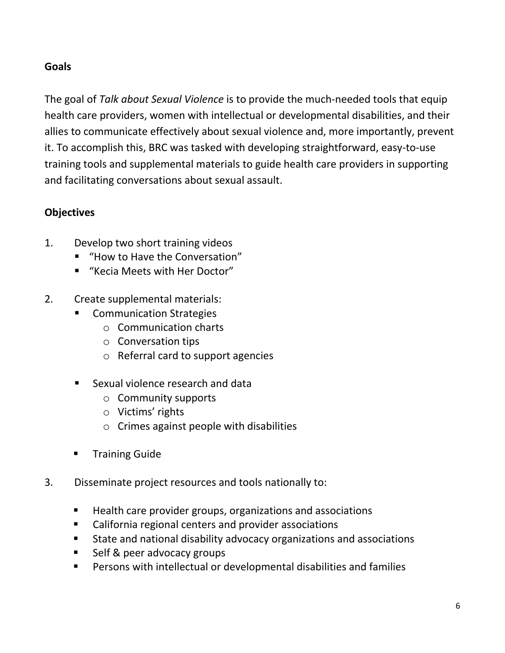### **Goals**

The goal of *Talk about Sexual Violence* is to provide the much-needed tools that equip health care providers, women with intellectual or developmental disabilities, and their allies to communicate effectively about sexual violence and, more importantly, prevent it. To accomplish this, BRC was tasked with developing straightforward, easy-to-use training tools and supplemental materials to guide health care providers in supporting and facilitating conversations about sexual assault.

### **Objectives**

- 1. Develop two short training videos
	- "How to Have the Conversation"
	- "Kecia Meets with Her Doctor"
- 2. Create supplemental materials:
	- Communication Strategies
		- o Communication charts
		- o Conversation tips
		- o Referral card to support agencies
	- Sexual violence research and data
		- o Community supports
		- o Victims' rights
		- o Crimes against people with disabilities
	- Training Guide
- 3. Disseminate project resources and tools nationally to:
	- Health care provider groups, organizations and associations
	- California regional centers and provider associations
	- State and national disability advocacy organizations and associations
	- **Self & peer advocacy groups**
	- Persons with intellectual or developmental disabilities and families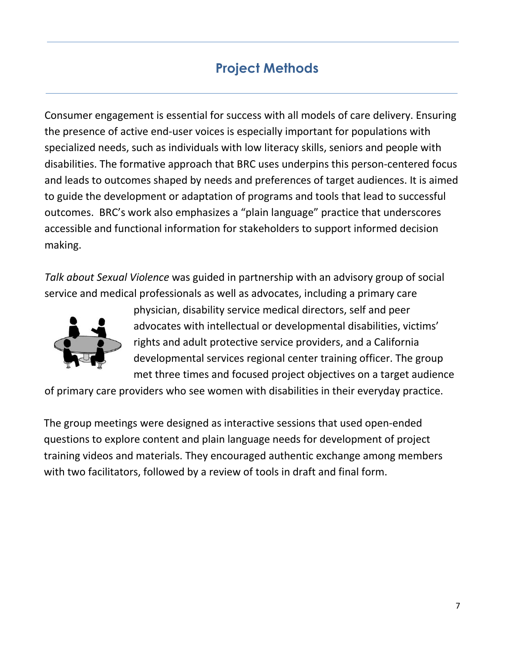# **Project Methods**

Consumer engagement is essential for success with all models of care delivery. Ensuring the presence of active end-user voices is especially important for populations with specialized needs, such as individuals with low literacy skills, seniors and people with disabilities. The formative approach that BRC uses underpins this person-centered focus and leads to outcomes shaped by needs and preferences of target audiences. It is aimed to guide the development or adaptation of programs and tools that lead to successful outcomes. BRC's work also emphasizes a "plain language" practice that underscores accessible and functional information for stakeholders to support informed decision making.

*Talk about Sexual Violence* was guided in partnership with an advisory group of social service and medical professionals as well as advocates, including a primary care



physician, disability service medical directors, self and peer advocates with intellectual or developmental disabilities, victims' rights and adult protective service providers, and a California developmental services regional center training officer. The group met three times and focused project objectives on a target audience

of primary care providers who see women with disabilities in their everyday practice.

The group meetings were designed as interactive sessions that used open-ended questions to explore content and plain language needs for development of project training videos and materials. They encouraged authentic exchange among members with two facilitators, followed by a review of tools in draft and final form.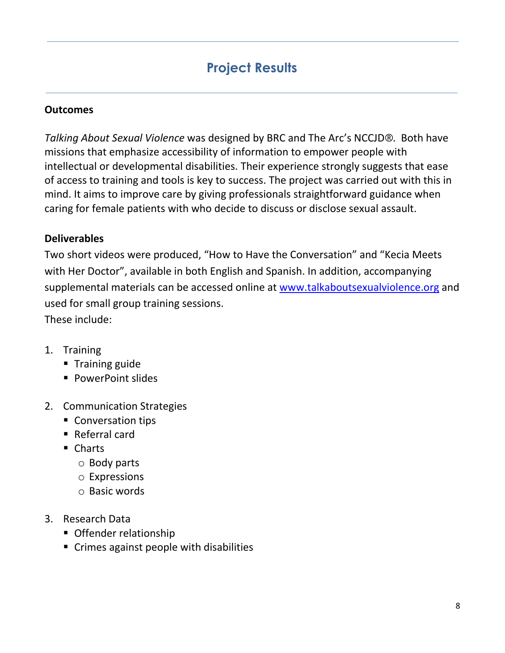# **Project Results**

### **Outcomes**

*Talking About Sexual Violence* was designed by BRC and The Arc's NCCJD®. Both have missions that emphasize accessibility of information to empower people with intellectual or developmental disabilities. Their experience strongly suggests that ease of access to training and tools is key to success. The project was carried out with this in mind. It aims to improve care by giving professionals straightforward guidance when caring for female patients with who decide to discuss or disclose sexual assault.

#### **Deliverables**

Two short videos were produced, "How to Have the Conversation" and "Kecia Meets with Her Doctor", available in both English and Spanish. In addition, accompanying supplemental materials can be accessed online at [www.talkaboutsexualviolence.org](http://www.talkaboutsexualviolence.org/) and used for small group training sessions.

These include:

- 1. Training
	- **Training guide**
	- **PowerPoint slides**
- 2. Communication Strategies
	- **Conversation tips**
	- Referral card
	- Charts
		- o Body parts
		- o Expressions
		- o Basic words
- 3. Research Data
	- **Offender relationship**
	- Crimes against people with disabilities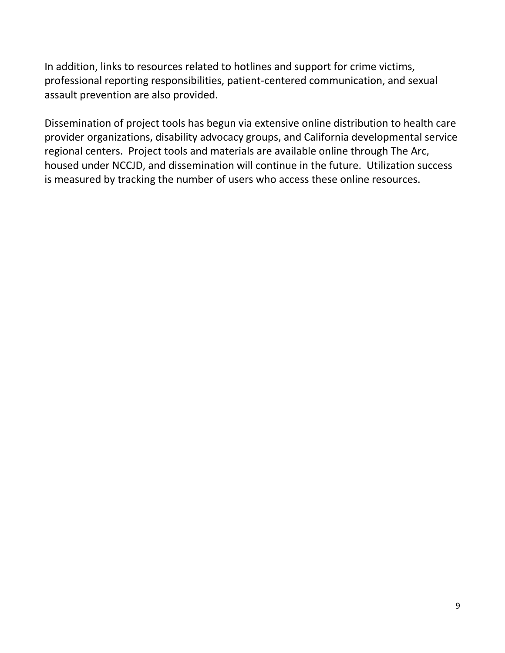In addition, links to resources related to hotlines and support for crime victims, professional reporting responsibilities, patient-centered communication, and sexual assault prevention are also provided.

Dissemination of project tools has begun via extensive online distribution to health care provider organizations, disability advocacy groups, and California developmental service regional centers. Project tools and materials are available online through The Arc, housed under NCCJD, and dissemination will continue in the future. Utilization success is measured by tracking the number of users who access these online resources.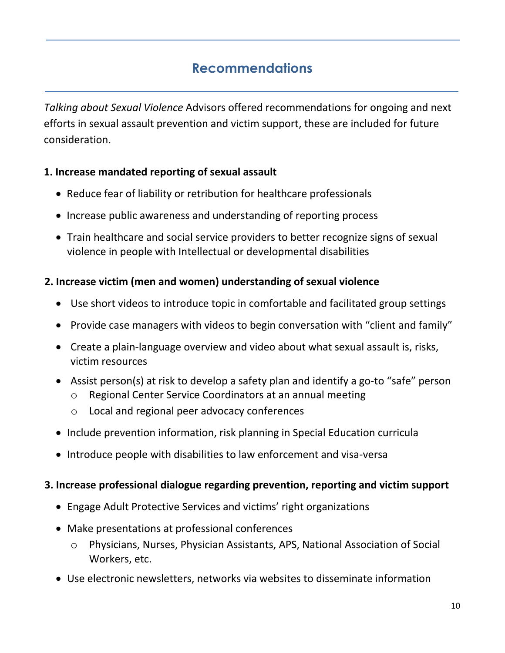## **Recommendations**

*Talking about Sexual Violence* Advisors offered recommendations for ongoing and next efforts in sexual assault prevention and victim support, these are included for future consideration.

### **1. Increase mandated reporting of sexual assault**

- Reduce fear of liability or retribution for healthcare professionals
- Increase public awareness and understanding of reporting process
- Train healthcare and social service providers to better recognize signs of sexual violence in people with Intellectual or developmental disabilities

### **2. Increase victim (men and women) understanding of sexual violence**

- Use short videos to introduce topic in comfortable and facilitated group settings
- Provide case managers with videos to begin conversation with "client and family"
- Create a plain-language overview and video about what sexual assault is, risks, victim resources
- Assist person(s) at risk to develop a safety plan and identify a go-to "safe" person
	- o Regional Center Service Coordinators at an annual meeting
	- o Local and regional peer advocacy conferences
- Include prevention information, risk planning in Special Education curricula
- Introduce people with disabilities to law enforcement and visa-versa

### **3. Increase professional dialogue regarding prevention, reporting and victim support**

- Engage Adult Protective Services and victims' right organizations
- Make presentations at professional conferences
	- o Physicians, Nurses, Physician Assistants, APS, National Association of Social Workers, etc.
- Use electronic newsletters, networks via websites to disseminate information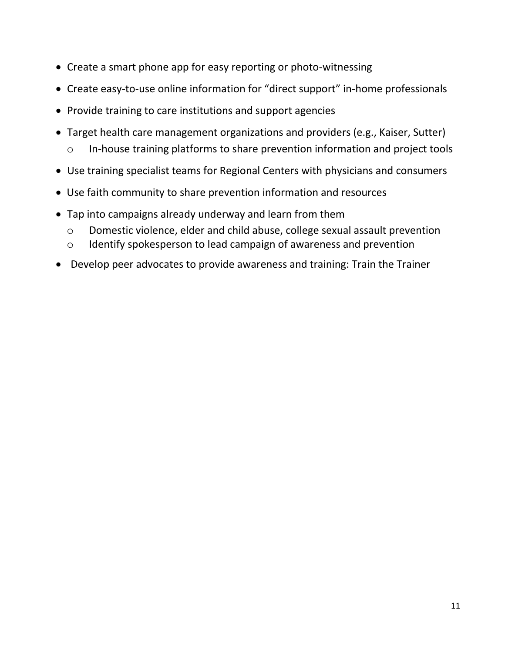- Create a smart phone app for easy reporting or photo-witnessing
- Create easy-to-use online information for "direct support" in-home professionals
- Provide training to care institutions and support agencies
- Target health care management organizations and providers (e.g., Kaiser, Sutter) o In-house training platforms to share prevention information and project tools
- Use training specialist teams for Regional Centers with physicians and consumers
- Use faith community to share prevention information and resources
- Tap into campaigns already underway and learn from them
	- o Domestic violence, elder and child abuse, college sexual assault prevention
	- o Identify spokesperson to lead campaign of awareness and prevention
- Develop peer advocates to provide awareness and training: Train the Trainer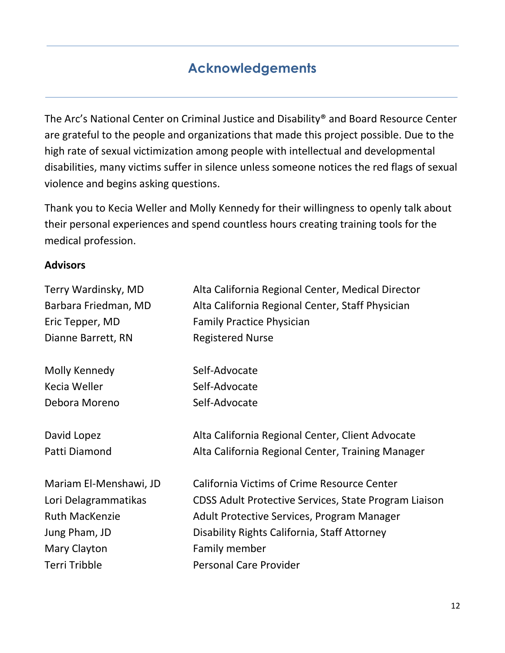# **Acknowledgements**

The Arc's National Center on Criminal Justice and Disability® and Board Resource Center are grateful to the people and organizations that made this project possible. Due to the high rate of sexual victimization among people with intellectual and developmental disabilities, many victims suffer in silence unless someone notices the red flags of sexual violence and begins asking questions.

Thank you to Kecia Weller and Molly Kennedy for their willingness to openly talk about their personal experiences and spend countless hours creating training tools for the medical profession.

#### **Advisors**

| Terry Wardinsky, MD    | Alta California Regional Center, Medical Director     |
|------------------------|-------------------------------------------------------|
| Barbara Friedman, MD   | Alta California Regional Center, Staff Physician      |
| Eric Tepper, MD        | <b>Family Practice Physician</b>                      |
| Dianne Barrett, RN     | <b>Registered Nurse</b>                               |
| Molly Kennedy          | Self-Advocate                                         |
| Kecia Weller           | Self-Advocate                                         |
| Debora Moreno          | Self-Advocate                                         |
| David Lopez            | Alta California Regional Center, Client Advocate      |
| Patti Diamond          | Alta California Regional Center, Training Manager     |
| Mariam El-Menshawi, JD | <b>California Victims of Crime Resource Center</b>    |
| Lori Delagrammatikas   | CDSS Adult Protective Services, State Program Liaison |
| <b>Ruth MacKenzie</b>  | Adult Protective Services, Program Manager            |
| Jung Pham, JD          | Disability Rights California, Staff Attorney          |
| Mary Clayton           | Family member                                         |
| <b>Terri Tribble</b>   | <b>Personal Care Provider</b>                         |